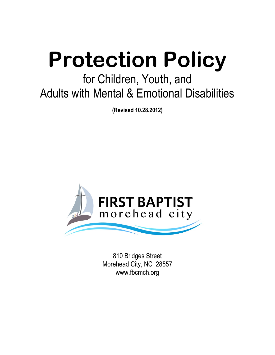# **Protection Policy**

# for Children, Youth, and Adults with Mental & Emotional Disabilities

**(Revised 10.28.2012)**



810 Bridges Street Morehead City, NC 28557 www.fbcmch.org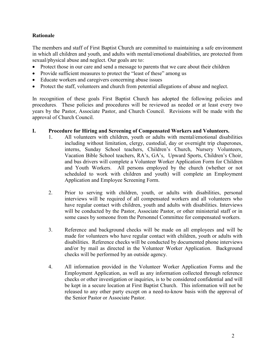### **Rationale**

The members and staff of First Baptist Church are committed to maintaining a safe environment in which all children and youth, and adults with mental/emotional disabilities, are protected from sexual/physical abuse and neglect. Our goals are to:

- Protect those in our care and send a message to parents that we care about their children
- Provide sufficient measures to protect the "least of these" among us
- Educate workers and caregivers concerning abuse issues
- Protect the staff, volunteers and church from potential allegations of abuse and neglect.

In recognition of these goals First Baptist Church has adopted the following policies and procedures. These policies and procedures will be reviewed as needed or at least every two years by the Pastor, Associate Pastor, and Church Council. Revisions will be made with the approval of Church Council.

#### **I. Procedure for Hiring and Screening of Compensated Workers and Volunteers.**

- 1. All volunteers with children, youth or adults with mental/emotional disabilities including without limitation, clergy, custodial, day or overnight trip chaperones, interns, Sunday School teachers, Children's Church, Nursery Volunteers, Vacation Bible School teachers, RA's, GA's, Upward Sports, Children's Choir, and bus drivers will complete a Volunteer Worker Application Form for Children and Youth Workers. All persons employed by the church (whether or not scheduled to work with children and youth) will complete an Employment Application and Employee Screening Form.
- 2. Prior to serving with children, youth, or adults with disabilities, personal interviews will be required of all compensated workers and all volunteers who have regular contact with children, youth and adults with disabilities. Interviews will be conducted by the Pastor, Associate Pastor, or other ministerial staff or in some cases by someone from the Personnel Committee for compensated workers.
- 3. Reference and background checks will be made on all employees and will be made for volunteers who have regular contact with children, youth or adults with disabilities. Reference checks will be conducted by documented phone interviews and/or by mail as directed in the Volunteer Worker Application. Background checks will be performed by an outside agency.
- 4. All information provided in the Volunteer Worker Application Forms and the Employment Application, as well as any information collected through reference checks or other investigation or inquiries, is to be considered confidential and will be kept in a secure location at First Baptist Church. This information will not be released to any other party except on a need-to-know basis with the approval of the Senior Pastor or Associate Pastor.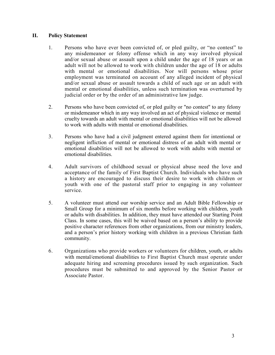#### **II. Policy Statement**

- 1. Persons who have ever been convicted of, or pled guilty, or "no contest" to any misdemeanor or felony offense which in any way involved physical and/or sexual abuse or assault upon a child under the age of 18 years or an adult will not be allowed to work with children under the age of 18 or adults with mental or emotional disabilities. Nor will persons whose prior employment was terminated on account of any alleged incident of physical and/or sexual abuse or assault towards a child of such age or an adult with mental or emotional disabilities, unless such termination was overturned by judicial order or by the order of an administrative law judge.
- 2. Persons who have been convicted of, or pled guilty or "no contest" to any felony or misdemeanor which in any way involved an act of physical violence or mental cruelty towards an adult with mental or emotional disabilities will not be allowed to work with adults with mental or emotional disabilities.
- 3. Persons who have had a civil judgment entered against them for intentional or negligent infliction of mental or emotional distress of an adult with mental or emotional disabilities will not be allowed to work with adults with mental or emotional disabilities.
- 4. Adult survivors of childhood sexual or physical abuse need the love and acceptance of the family of First Baptist Church. Individuals who have such a history are encouraged to discuss their desire to work with children or youth with one of the pastoral staff prior to engaging in any volunteer service.
- 5. A volunteer must attend our worship service and an Adult Bible Fellowship or Small Group for a minimum of six months before working with children, youth or adults with disabilities. In addition, they must have attended our Starting Point Class. In some cases, this will be waived based on a person's ability to provide positive character references from other organizations, from our ministry leaders, and a person's prior history working with children in a previous Christian faith community.
- 6. Organizations who provide workers or volunteers for children, youth, or adults with mental/emotional disabilities to First Baptist Church must operate under adequate hiring and screening procedures issued by such organization. Such procedures must be submitted to and approved by the Senior Pastor or Associate Pastor.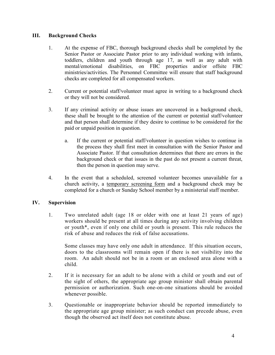#### **III. Background Checks**

- 1. At the expense of FBC, thorough background checks shall be completed by the Senior Pastor or Associate Pastor prior to any individual working with infants, toddlers, children and youth through age 17, as well as any adult with mental/emotional disabilities, on FBC properties and/or offsite FBC ministries/activities. The Personnel Committee will ensure that staff background checks are completed for all compensated workers.
- 2. Current or potential staff/volunteer must agree in writing to a background check or they will not be considered.
- 3. If any criminal activity or abuse issues are uncovered in a background check, these shall be brought to the attention of the current or potential staff/volunteer and that person shall determine if they desire to continue to be considered for the paid or unpaid position in question.
	- a. If the current or potential staff/volunteer in question wishes to continue in the process they shall first meet in consultation with the Senior Pastor and Associate Pastor. If that consultation determines that there are errors in the background check or that issues in the past do not present a current threat, then the person in question may serve.
- 4. In the event that a scheduled, screened volunteer becomes unavailable for a church activity, a temporary screening form and a background check may be completed for a church or Sunday School member by a ministerial staff member.

## **IV. Supervision**

1. Two unrelated adult (age 18 or older with one at least 21 years of age) workers should be present at all times during any activity involving children or youth\*, even if only one child or youth is present. This rule reduces the risk of abuse and reduces the risk of false accusations.

Some classes may have only one adult in attendance. If this situation occurs, doors to the classrooms will remain open if there is not visibility into the room. An adult should not be in a room or an enclosed area alone with a child.

- 2. If it is necessary for an adult to be alone with a child or youth and out of the sight of others, the appropriate age group minister shall obtain parental permission or authorization. Such one-on-one situations should be avoided whenever possible.
- 3. Questionable or inappropriate behavior should be reported immediately to the appropriate age group minister; as such conduct can precede abuse, even though the observed act itself does not constitute abuse.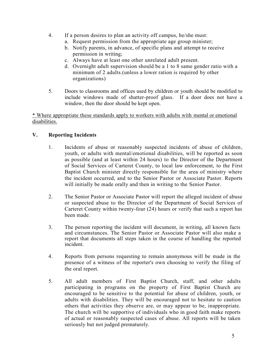- 4. If a person desires to plan an activity off campus, he/she must:
	- a. Request permission from the appropriate age group minister;
	- b. Notify parents, in advance, of specific plans and attempt to receive permission in writing;
	- c. Always have at least one other unrelated adult present.
	- d. Overnight adult supervision should be a 1 to 8 same gender ratio with a minimum of 2 adults.(unless a lower ration is required by other organizations)
- 5. Doors to classrooms and offices used by children or youth should be modified to include windows made of shatter-proof glass. If a door does not have a window, then the door should be kept open.

\* Where appropriate these standards apply to workers with adults with mental or emotional disabilities.

# **V. Reporting Incidents**

- 1. Incidents of abuse or reasonably suspected incidents of abuse of children, youth, or adults with mental/emotional disabilities, will be reported as soon as possible (and at least within 24 hours) to the Director of the Department of Social Services of Carteret County, to local law enforcement, to the First Baptist Church minister directly responsible for the area of ministry where the incident occurred, and to the Senior Pastor or Associate Pastor. Reports will initially be made orally and then in writing to the Senior Pastor.
- 2. The Senior Pastor or Associate Pastor will report the alleged incident of abuse or suspected abuse to the Director of the Department of Social Services of Carteret County within twenty-four (24) hours or verify that such a report has been made.
- 3. The person reporting the incident will document, in writing, all known facts and circumstances. The Senior Pastor or Associate Pastor will also make a report that documents all steps taken in the course of handling the reported incident.
- 4. Reports from persons requesting to remain anonymous will be made in the presence of a witness of the reporter's own choosing to verify the filing of the oral report.
- 5. All adult members of First Baptist Church, staff, and other adults participating in programs on the property of First Baptist Church are encouraged to be sensitive to the potential for abuse of children, youth, or adults with disabilities. They will be encouraged not to hesitate to caution others that activities they observe are, or may appear to be, inappropriate. The church will be supportive of individuals who in good faith make reports of actual or reasonably suspected cases of abuse. All reports will be taken seriously but not judged prematurely.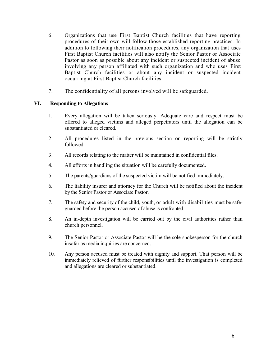- 6. Organizations that use First Baptist Church facilities that have reporting procedures of their own will follow those established reporting practices. In addition to following their notification procedures, any organization that uses First Baptist Church facilities will also notify the Senior Pastor or Associate Pastor as soon as possible about any incident or suspected incident of abuse involving any person affiliated with such organization and who uses First Baptist Church facilities or about any incident or suspected incident occurring at First Baptist Church facilities.
- 7. The confidentiality of all persons involved will be safeguarded.

#### **VI. Responding to Allegations**

- 1. Every allegation will be taken seriously. Adequate care and respect must be offered to alleged victims and alleged perpetrators until the allegation can be substantiated or cleared.
- 2. All procedures listed in the previous section on reporting will be strictly followed.
- 3. All records relating to the matter will be maintained in confidential files.
- 4. All efforts in handling the situation will be carefully documented.
- 5. The parents/guardians of the suspected victim will be notified immediately.
- 6. The liability insurer and attorney for the Church will be notified about the incident by the Senior Pastor or Associate Pastor.
- 7. The safety and security of the child, youth, or adult with disabilities must be safeguarded before the person accused of abuse is confronted.
- 8. An in-depth investigation will be carried out by the civil authorities rather than church personnel.
- 9. The Senior Pastor or Associate Pastor will be the sole spokesperson for the church insofar as media inquiries are concerned.
- 10. Any person accused must be treated with dignity and support. That person will be immediately relieved of further responsibilities until the investigation is completed and allegations are cleared or substantiated.